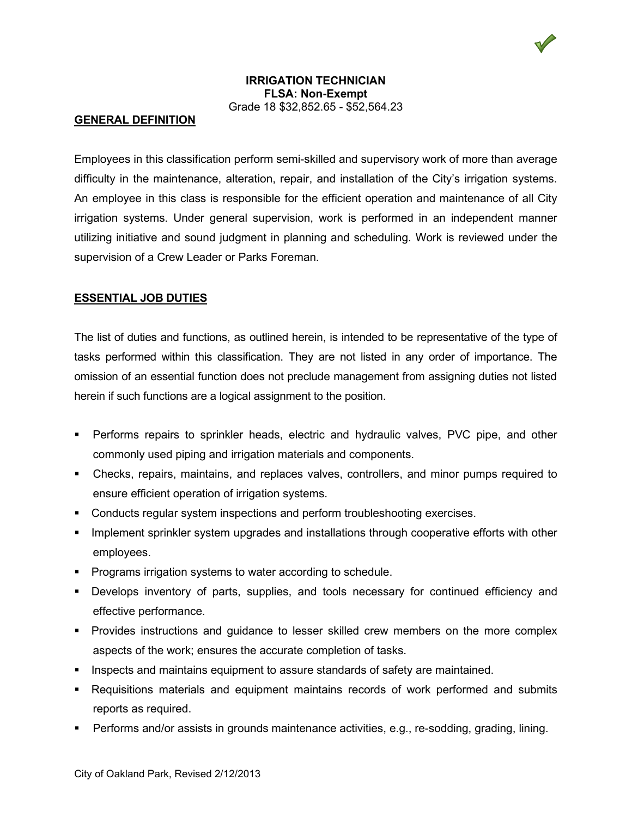

### **IRRIGATION TECHNICIAN FLSA: Non-Exempt** Grade 18 \$32,852.65 - \$52,564.23

#### **GENERAL DEFINITION**

Employees in this classification perform semi-skilled and supervisory work of more than average difficulty in the maintenance, alteration, repair, and installation of the City's irrigation systems. An employee in this class is responsible for the efficient operation and maintenance of all City irrigation systems. Under general supervision, work is performed in an independent manner utilizing initiative and sound judgment in planning and scheduling. Work is reviewed under the supervision of a Crew Leader or Parks Foreman.

# **ESSENTIAL JOB DUTIES**

The list of duties and functions, as outlined herein, is intended to be representative of the type of tasks performed within this classification. They are not listed in any order of importance. The omission of an essential function does not preclude management from assigning duties not listed herein if such functions are a logical assignment to the position.

- Performs repairs to sprinkler heads, electric and hydraulic valves, PVC pipe, and other commonly used piping and irrigation materials and components.
- Checks, repairs, maintains, and replaces valves, controllers, and minor pumps required to ensure efficient operation of irrigation systems.
- Conducts regular system inspections and perform troubleshooting exercises.
- **IMPLEM** 10 Implement sprinkler system upgrades and installations through cooperative efforts with other employees.
- **Programs irrigation systems to water according to schedule.**
- Develops inventory of parts, supplies, and tools necessary for continued efficiency and effective performance.
- **Provides instructions and guidance to lesser skilled crew members on the more complex** aspects of the work; ensures the accurate completion of tasks.
- Inspects and maintains equipment to assure standards of safety are maintained.
- Requisitions materials and equipment maintains records of work performed and submits reports as required.
- Performs and/or assists in grounds maintenance activities, e.g., re-sodding, grading, lining.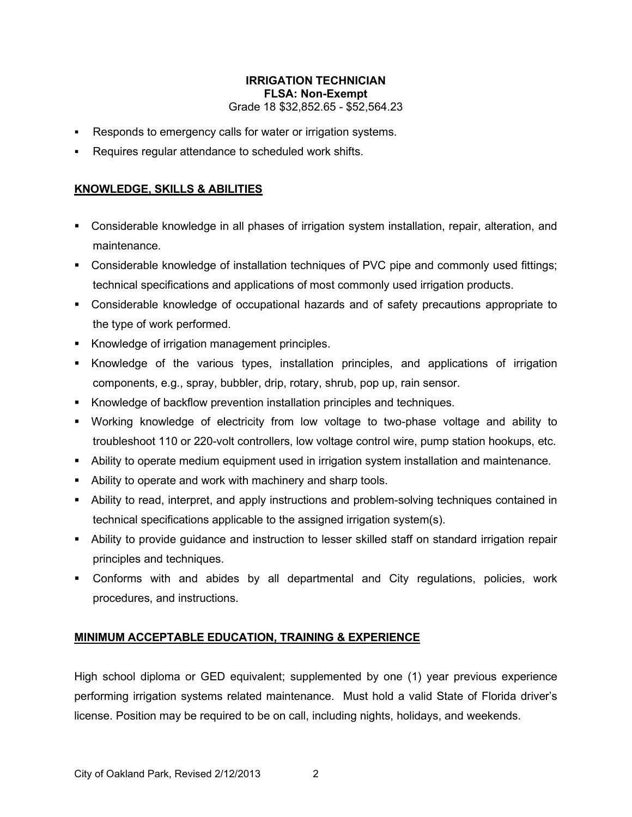# **IRRIGATION TECHNICIAN FLSA: Non-Exempt** Grade 18 \$32,852.65 - \$52,564.23

- Responds to emergency calls for water or irrigation systems.
- Requires regular attendance to scheduled work shifts.

## **KNOWLEDGE, SKILLS & ABILITIES**

- Considerable knowledge in all phases of irrigation system installation, repair, alteration, and maintenance.
- Considerable knowledge of installation techniques of PVC pipe and commonly used fittings; technical specifications and applications of most commonly used irrigation products.
- Considerable knowledge of occupational hazards and of safety precautions appropriate to the type of work performed.
- **Knowledge of irrigation management principles.**
- Knowledge of the various types, installation principles, and applications of irrigation components, e.g., spray, bubbler, drip, rotary, shrub, pop up, rain sensor.
- Knowledge of backflow prevention installation principles and techniques.
- Working knowledge of electricity from low voltage to two-phase voltage and ability to troubleshoot 110 or 220-volt controllers, low voltage control wire, pump station hookups, etc.
- Ability to operate medium equipment used in irrigation system installation and maintenance.
- Ability to operate and work with machinery and sharp tools.
- Ability to read, interpret, and apply instructions and problem-solving techniques contained in technical specifications applicable to the assigned irrigation system(s).
- Ability to provide guidance and instruction to lesser skilled staff on standard irrigation repair principles and techniques.
- Conforms with and abides by all departmental and City regulations, policies, work procedures, and instructions.

# **MINIMUM ACCEPTABLE EDUCATION, TRAINING & EXPERIENCE**

High school diploma or GED equivalent; supplemented by one (1) year previous experience performing irrigation systems related maintenance. Must hold a valid State of Florida driver's license. Position may be required to be on call, including nights, holidays, and weekends.